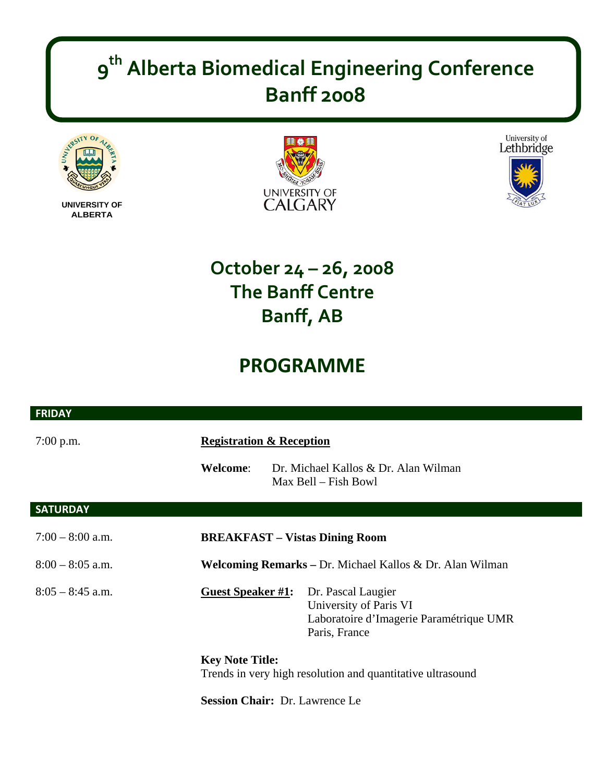## **9th Alberta Biomedical Engineering Conference Banff 2008**



**UNIVERSITY OF ALBERTA** 

 $\overline{\phantom{a}}$ 





## **October 24 – 26, 2008 The Banff Centre Banff, AB**

## **PROGRAMME**

| <b>FRIDAY</b>      |                                     |                                                                                                          |
|--------------------|-------------------------------------|----------------------------------------------------------------------------------------------------------|
| $7:00$ p.m.        | <b>Registration &amp; Reception</b> |                                                                                                          |
|                    | <b>Welcome:</b>                     | Dr. Michael Kallos & Dr. Alan Wilman<br>Max Bell – Fish Bowl                                             |
| <b>SATURDAY</b>    |                                     |                                                                                                          |
| $7:00 - 8:00$ a.m. |                                     | <b>BREAKFAST – Vistas Dining Room</b>                                                                    |
| $8:00 - 8:05$ a.m. |                                     | Welcoming Remarks – Dr. Michael Kallos & Dr. Alan Wilman                                                 |
| $8:05 - 8:45$ a.m. | <b>Guest Speaker #1:</b>            | Dr. Pascal Laugier<br>University of Paris VI<br>Laboratoire d'Imagerie Paramétrique UMR<br>Paris, France |
|                    | <b>Key Note Title:</b>              | Trends in very high resolution and quantitative ultrasound                                               |
|                    |                                     | <b>Session Chair:</b> Dr. Lawrence Le                                                                    |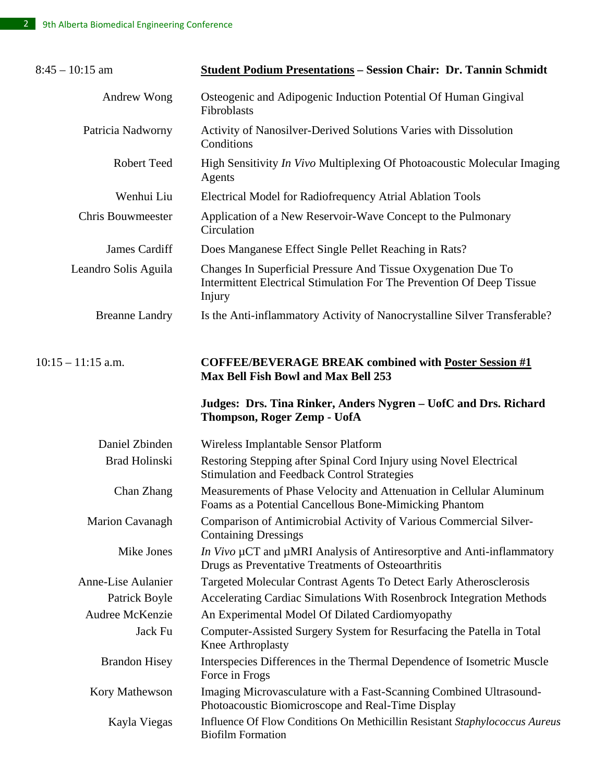| $8:45 - 10:15$ am        | <b>Student Podium Presentations - Session Chair: Dr. Tannin Schmidt</b>                                                                          |  |
|--------------------------|--------------------------------------------------------------------------------------------------------------------------------------------------|--|
| Andrew Wong              | Osteogenic and Adipogenic Induction Potential Of Human Gingival<br>Fibroblasts                                                                   |  |
| Patricia Nadworny        | Activity of Nanosilver-Derived Solutions Varies with Dissolution<br>Conditions                                                                   |  |
| <b>Robert Teed</b>       | High Sensitivity In Vivo Multiplexing Of Photoacoustic Molecular Imaging<br>Agents                                                               |  |
| Wenhui Liu               | Electrical Model for Radiofrequency Atrial Ablation Tools                                                                                        |  |
| <b>Chris Bouwmeester</b> | Application of a New Reservoir-Wave Concept to the Pulmonary<br>Circulation                                                                      |  |
| James Cardiff            | Does Manganese Effect Single Pellet Reaching in Rats?                                                                                            |  |
| Leandro Solis Aguila     | Changes In Superficial Pressure And Tissue Oxygenation Due To<br>Intermittent Electrical Stimulation For The Prevention Of Deep Tissue<br>Injury |  |
| <b>Breanne Landry</b>    | Is the Anti-inflammatory Activity of Nanocrystalline Silver Transferable?                                                                        |  |
| $10:15 - 11:15$ a.m.     | <b>COFFEE/BEVERAGE BREAK combined with Poster Session #1</b><br><b>Max Bell Fish Bowl and Max Bell 253</b>                                       |  |
|                          | Judges: Drs. Tina Rinker, Anders Nygren – UofC and Drs. Richard<br><b>Thompson, Roger Zemp - UofA</b>                                            |  |
| Daniel Zbinden           | Wireless Implantable Sensor Platform                                                                                                             |  |
| <b>Brad Holinski</b>     | Restoring Stepping after Spinal Cord Injury using Novel Electrical<br><b>Stimulation and Feedback Control Strategies</b>                         |  |
| Chan Zhang               | Measurements of Phase Velocity and Attenuation in Cellular Aluminum<br>Foams as a Potential Cancellous Bone-Mimicking Phantom                    |  |
| Marion Cavanagh          | Comparison of Antimicrobial Activity of Various Commercial Silver-<br><b>Containing Dressings</b>                                                |  |
| Mike Jones               | <i>In Vivo</i> µCT and µMRI Analysis of Antiresorptive and Anti-inflammatory<br>Drugs as Preventative Treatments of Osteoarthritis               |  |
| Anne-Lise Aulanier       | Targeted Molecular Contrast Agents To Detect Early Atherosclerosis                                                                               |  |
| Patrick Boyle            | Accelerating Cardiac Simulations With Rosenbrock Integration Methods                                                                             |  |
| Audree McKenzie          | An Experimental Model Of Dilated Cardiomyopathy                                                                                                  |  |
| Jack Fu                  | Computer-Assisted Surgery System for Resurfacing the Patella in Total<br>Knee Arthroplasty                                                       |  |
| <b>Brandon Hisey</b>     | Interspecies Differences in the Thermal Dependence of Isometric Muscle<br>Force in Frogs                                                         |  |
| Kory Mathewson           | Imaging Microvasculature with a Fast-Scanning Combined Ultrasound-<br>Photoacoustic Biomicroscope and Real-Time Display                          |  |
| Kayla Viegas             | Influence Of Flow Conditions On Methicillin Resistant Staphylococcus Aureus<br><b>Biofilm Formation</b>                                          |  |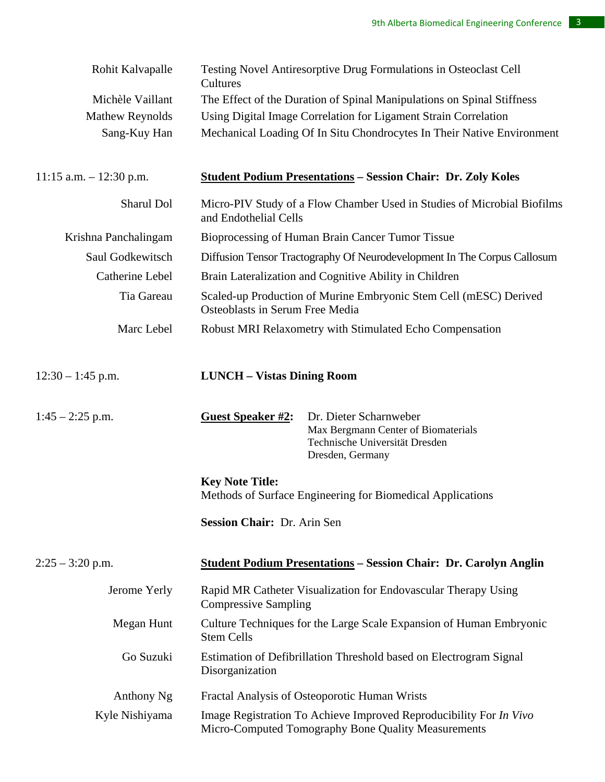| Rohit Kalvapalle           | Testing Novel Antiresorptive Drug Formulations in Osteoclast Cell<br>Cultures                                                                   |  |  |
|----------------------------|-------------------------------------------------------------------------------------------------------------------------------------------------|--|--|
| Michèle Vaillant           | The Effect of the Duration of Spinal Manipulations on Spinal Stiffness                                                                          |  |  |
| <b>Mathew Reynolds</b>     | Using Digital Image Correlation for Ligament Strain Correlation                                                                                 |  |  |
| Sang-Kuy Han               | Mechanical Loading Of In Situ Chondrocytes In Their Native Environment                                                                          |  |  |
| $11:15$ a.m. $-12:30$ p.m. | <b><u>Student Podium Presentations</u></b> – Session Chair: Dr. Zoly Koles                                                                      |  |  |
| Sharul Dol                 | Micro-PIV Study of a Flow Chamber Used in Studies of Microbial Biofilms<br>and Endothelial Cells                                                |  |  |
| Krishna Panchalingam       | Bioprocessing of Human Brain Cancer Tumor Tissue                                                                                                |  |  |
| Saul Godkewitsch           | Diffusion Tensor Tractography Of Neurodevelopment In The Corpus Callosum                                                                        |  |  |
| Catherine Lebel            | Brain Lateralization and Cognitive Ability in Children                                                                                          |  |  |
| Tia Gareau                 | Scaled-up Production of Murine Embryonic Stem Cell (mESC) Derived<br>Osteoblasts in Serum Free Media                                            |  |  |
| Marc Lebel                 | Robust MRI Relaxometry with Stimulated Echo Compensation                                                                                        |  |  |
| $12:30 - 1:45$ p.m.        | <b>LUNCH - Vistas Dining Room</b>                                                                                                               |  |  |
| $1:45 - 2:25$ p.m.         | <b>Guest Speaker #2:</b><br>Dr. Dieter Scharnweber<br>Max Bergmann Center of Biomaterials<br>Technische Universität Dresden<br>Dresden, Germany |  |  |
|                            | <b>Key Note Title:</b>                                                                                                                          |  |  |
|                            | Methods of Surface Engineering for Biomedical Applications                                                                                      |  |  |
|                            | Session Chair: Dr. Arin Sen                                                                                                                     |  |  |
| $2:25 - 3:20$ p.m.         | <b>Student Podium Presentations - Session Chair: Dr. Carolyn Anglin</b>                                                                         |  |  |
| Jerome Yerly               | Rapid MR Catheter Visualization for Endovascular Therapy Using<br><b>Compressive Sampling</b>                                                   |  |  |
| Megan Hunt                 | Culture Techniques for the Large Scale Expansion of Human Embryonic<br><b>Stem Cells</b>                                                        |  |  |
| Go Suzuki                  | Estimation of Defibrillation Threshold based on Electrogram Signal<br>Disorganization                                                           |  |  |
| Anthony Ng                 | Fractal Analysis of Osteoporotic Human Wrists                                                                                                   |  |  |
| Kyle Nishiyama             | Image Registration To Achieve Improved Reproducibility For In Vivo<br>Micro-Computed Tomography Bone Quality Measurements                       |  |  |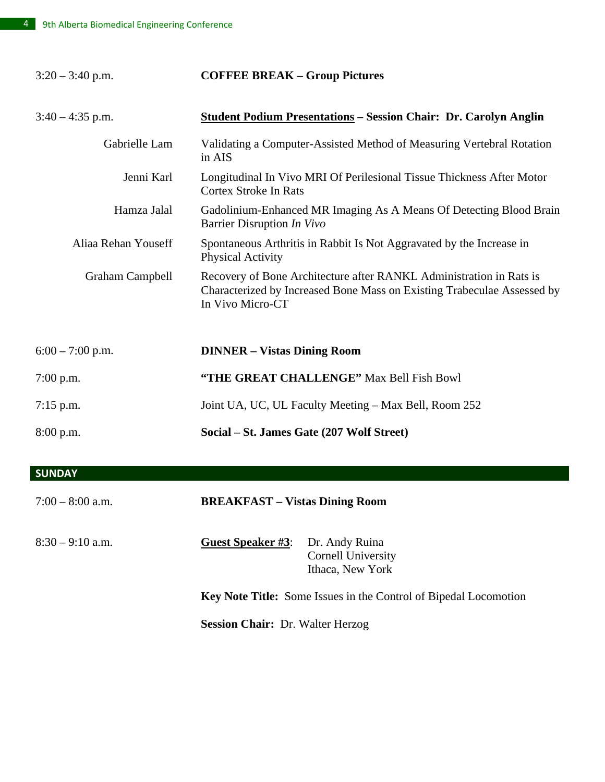| $3:20 - 3:40$ p.m.     | <b>COFFEE BREAK - Group Pictures</b>                                                                                                                               |
|------------------------|--------------------------------------------------------------------------------------------------------------------------------------------------------------------|
| $3:40 - 4:35$ p.m.     | <b>Student Podium Presentations - Session Chair: Dr. Carolyn Anglin</b>                                                                                            |
| Gabrielle Lam          | Validating a Computer-Assisted Method of Measuring Vertebral Rotation<br>in AIS                                                                                    |
| Jenni Karl             | Longitudinal In Vivo MRI Of Perilesional Tissue Thickness After Motor<br><b>Cortex Stroke In Rats</b>                                                              |
| Hamza Jalal            | Gadolinium-Enhanced MR Imaging As A Means Of Detecting Blood Brain<br>Barrier Disruption In Vivo                                                                   |
| Aliaa Rehan Youseff    | Spontaneous Arthritis in Rabbit Is Not Aggravated by the Increase in<br><b>Physical Activity</b>                                                                   |
| <b>Graham Campbell</b> | Recovery of Bone Architecture after RANKL Administration in Rats is<br>Characterized by Increased Bone Mass on Existing Trabeculae Assessed by<br>In Vivo Micro-CT |
| $6:00 - 7:00$ p.m.     | <b>DINNER - Vistas Dining Room</b>                                                                                                                                 |
| $7:00$ p.m.            | "THE GREAT CHALLENGE" Max Bell Fish Bowl                                                                                                                           |
| $7:15$ p.m.            | Joint UA, UC, UL Faculty Meeting – Max Bell, Room 252                                                                                                              |
| 8:00 p.m.              | Social – St. James Gate (207 Wolf Street)                                                                                                                          |

**SUNDAY**

| $7:00 - 8:00$ a.m. | <b>BREAKFAST - Vistas Dining Room</b>                                   |                                                          |
|--------------------|-------------------------------------------------------------------------|----------------------------------------------------------|
| $8:30 - 9:10$ a.m. | <b>Guest Speaker #3:</b>                                                | Dr. Andy Ruina<br>Cornell University<br>Ithaca, New York |
|                    | <b>Key Note Title:</b> Some Issues in the Control of Bipedal Locomotion |                                                          |
|                    | <b>Session Chair: Dr. Walter Herzog</b>                                 |                                                          |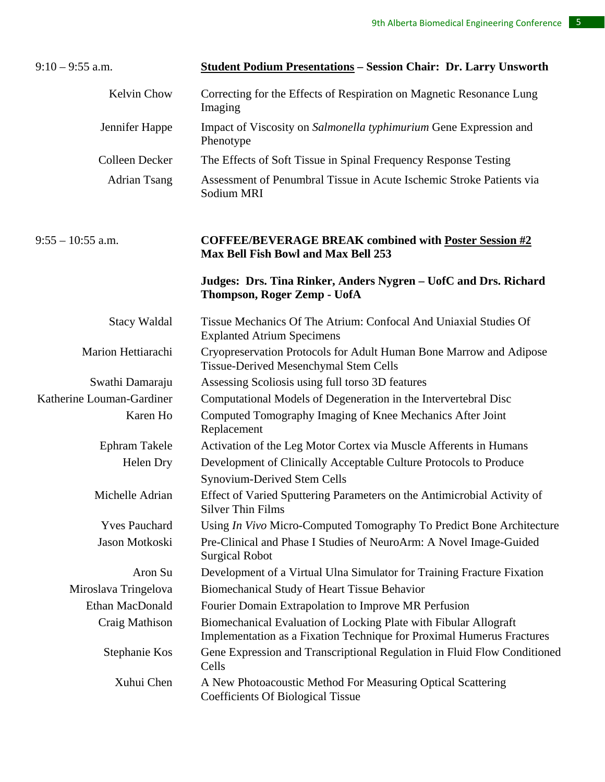| $9:10 - 9:55$ a.m.        | <b>Student Podium Presentations - Session Chair: Dr. Larry Unsworth</b>                                                                   |  |
|---------------------------|-------------------------------------------------------------------------------------------------------------------------------------------|--|
| <b>Kelvin Chow</b>        | Correcting for the Effects of Respiration on Magnetic Resonance Lung<br>Imaging                                                           |  |
| Jennifer Happe            | Impact of Viscosity on Salmonella typhimurium Gene Expression and<br>Phenotype                                                            |  |
| Colleen Decker            | The Effects of Soft Tissue in Spinal Frequency Response Testing                                                                           |  |
| <b>Adrian Tsang</b>       | Assessment of Penumbral Tissue in Acute Ischemic Stroke Patients via<br>Sodium MRI                                                        |  |
| $9:55 - 10:55$ a.m.       | <b>COFFEE/BEVERAGE BREAK combined with Poster Session #2</b><br><b>Max Bell Fish Bowl and Max Bell 253</b>                                |  |
|                           | Judges: Drs. Tina Rinker, Anders Nygren - UofC and Drs. Richard<br>Thompson, Roger Zemp - UofA                                            |  |
| <b>Stacy Waldal</b>       | Tissue Mechanics Of The Atrium: Confocal And Uniaxial Studies Of<br><b>Explanted Atrium Specimens</b>                                     |  |
| Marion Hettiarachi        | Cryopreservation Protocols for Adult Human Bone Marrow and Adipose<br>Tissue-Derived Mesenchymal Stem Cells                               |  |
| Swathi Damaraju           | Assessing Scoliosis using full torso 3D features                                                                                          |  |
| Katherine Louman-Gardiner | Computational Models of Degeneration in the Intervertebral Disc                                                                           |  |
| Karen Ho                  | Computed Tomography Imaging of Knee Mechanics After Joint<br>Replacement                                                                  |  |
| Ephram Takele             | Activation of the Leg Motor Cortex via Muscle Afferents in Humans                                                                         |  |
| Helen Dry                 | Development of Clinically Acceptable Culture Protocols to Produce<br>Synovium-Derived Stem Cells                                          |  |
| Michelle Adrian           | Effect of Varied Sputtering Parameters on the Antimicrobial Activity of<br><b>Silver Thin Films</b>                                       |  |
| <b>Yves Pauchard</b>      | Using <i>In Vivo</i> Micro-Computed Tomography To Predict Bone Architecture                                                               |  |
| Jason Motkoski            | Pre-Clinical and Phase I Studies of NeuroArm: A Novel Image-Guided<br><b>Surgical Robot</b>                                               |  |
| Aron Su                   | Development of a Virtual Ulna Simulator for Training Fracture Fixation                                                                    |  |
| Miroslava Tringelova      | Biomechanical Study of Heart Tissue Behavior                                                                                              |  |
| Ethan MacDonald           | Fourier Domain Extrapolation to Improve MR Perfusion                                                                                      |  |
| Craig Mathison            | Biomechanical Evaluation of Locking Plate with Fibular Allograft<br>Implementation as a Fixation Technique for Proximal Humerus Fractures |  |
| Stephanie Kos             | Gene Expression and Transcriptional Regulation in Fluid Flow Conditioned<br>Cells                                                         |  |
| Xuhui Chen                | A New Photoacoustic Method For Measuring Optical Scattering<br><b>Coefficients Of Biological Tissue</b>                                   |  |